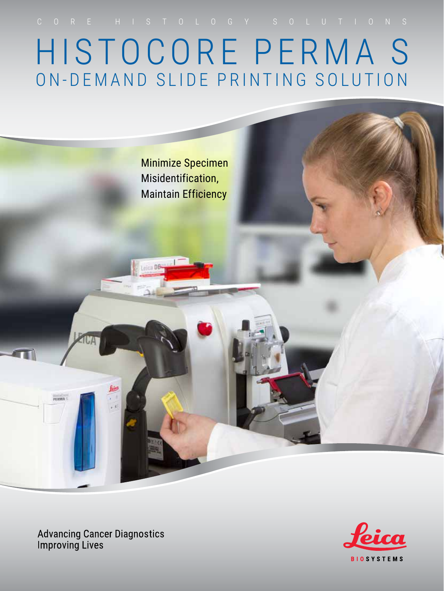HISTOCORE PERMA S ON-DEMAND SLIDE PRINTING SOLUTION



**Advancing Cancer Diagnostics Improving Lives** 

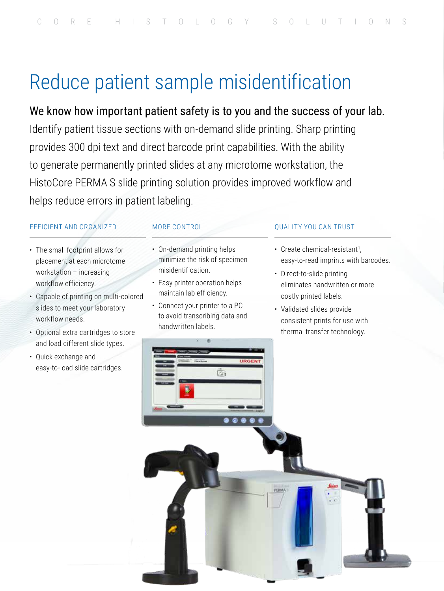# Reduce patient sample misidentification

We know how important patient safety is to you and the success of your lab. Identify patient tissue sections with on-demand slide printing. Sharp printing provides 300 dpi text and direct barcode print capabilities. With the ability to generate permanently printed slides at any microtome workstation, the HistoCore PERMA S slide printing solution provides improved workflow and helps reduce errors in patient labeling.

#### EFFICIENT AND ORGANIZED

- The small footprint allows for placement at each microtome workstation – increasing workflow efficiency.
- Capable of printing on multi-colored slides to meet your laboratory workflow needs.
- Optional extra cartridges to store and load different slide types.
- Quick exchange and easy-to-load slide cartridges.

#### MORE CONTROL

- On-demand printing helps minimize the risk of specimen misidentification.
- Easy printer operation helps maintain lab efficiency.
- Connect your printer to a PC to avoid transcribing data and handwritten labels.

#### QUALITY YOU CAN TRUST

- Create chemical-resistant<sup>1</sup>, easy-to-read imprints with barcodes.
- Direct-to-slide printing eliminates handwritten or more costly printed labels.
- Validated slides provide consistent prints for use with thermal transfer technology.

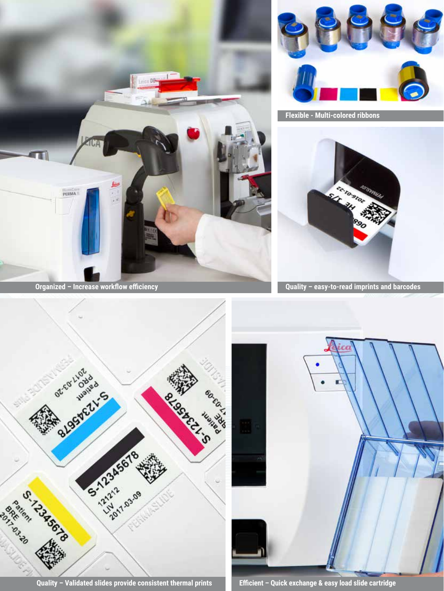



**Flexible - Multi-colored ribbons**



**Organized – Increase workflow efficiency Quality – easy-to-read imprints and barcodes** 



**Quality – Validated slides provide consistent thermal prints Efficient – Quick exchange & easy load slide cartridge**